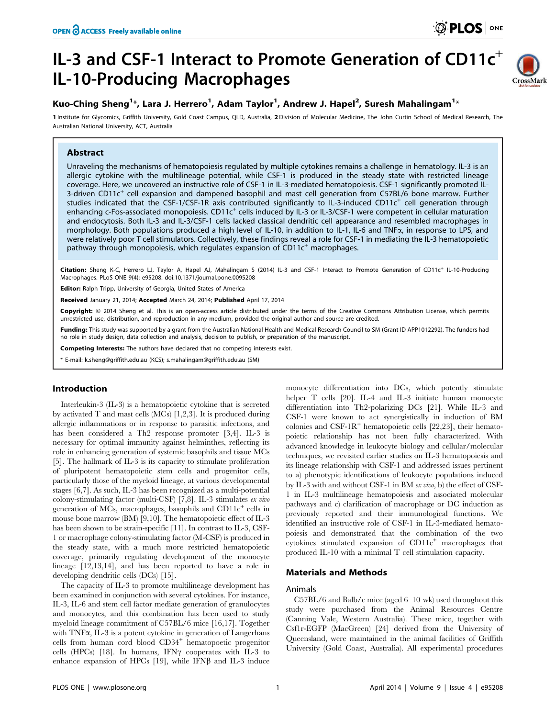# IL-3 and CSF-1 Interact to Promote Generation of  $CD11c<sup>+</sup>$ IL-10-Producing Macrophages



# Kuo-Ching Sheng<sup>1</sup>\*, Lara J. Herrero<sup>1</sup>, Adam Taylor<sup>1</sup>, Andrew J. Hapel<sup>2</sup>, Suresh Mahalingam<sup>1</sup>\*

1 Institute for Glycomics, Griffith University, Gold Coast Campus, OLD, Australia, 2 Division of Molecular Medicine, The John Curtin School of Medical Research, The Australian National University, ACT, Australia

# Abstract

Unraveling the mechanisms of hematopoiesis regulated by multiple cytokines remains a challenge in hematology. IL-3 is an allergic cytokine with the multilineage potential, while CSF-1 is produced in the steady state with restricted lineage coverage. Here, we uncovered an instructive role of CSF-1 in IL-3-mediated hematopoiesis. CSF-1 significantly promoted IL-3-driven CD11c<sup>+</sup> cell expansion and dampened basophil and mast cell generation from C57BL/6 bone marrow. Further studies indicated that the CSF-1/CSF-1R axis contributed significantly to IL-3-induced CD11c<sup>+</sup> cell generation through enhancing c-Fos-associated monopoiesis. CD11c<sup>+</sup> cells induced by IL-3 or IL-3/CSF-1 were competent in cellular maturation and endocytosis. Both IL-3 and IL-3/CSF-1 cells lacked classical dendritic cell appearance and resembled macrophages in morphology. Both populations produced a high level of IL-10, in addition to IL-1, IL-6 and TNF $\alpha$ , in response to LPS, and were relatively poor T cell stimulators. Collectively, these findings reveal a role for CSF-1 in mediating the IL-3 hematopoietic pathway through monopoiesis, which regulates expansion of  $CD11c<sup>+</sup>$  macrophages.

Citation: Sheng K-C, Herrero LJ, Taylor A, Hapel AJ, Mahalingam S (2014) IL-3 and CSF-1 Interact to Promote Generation of CD11c<sup>+</sup> IL-10-Producing Macrophages. PLoS ONE 9(4): e95208. doi:10.1371/journal.pone.0095208

Editor: Ralph Tripp, University of Georgia, United States of America

Received January 21, 2014; Accepted March 24, 2014; Published April 17, 2014

Copyright: @ 2014 Sheng et al. This is an open-access article distributed under the terms of the Creative Commons Attribution License, which permits unrestricted use, distribution, and reproduction in any medium, provided the original author and source are credited.

Funding: This study was supported by a grant from the Australian National Health and Medical Research Council to SM (Grant ID APP1012292). The funders had no role in study design, data collection and analysis, decision to publish, or preparation of the manuscript.

Competing Interests: The authors have declared that no competing interests exist.

\* E-mail: k.sheng@griffith.edu.au (KCS); s.mahalingam@griffith.edu.au (SM)

# Introduction

Interleukin-3 (IL-3) is a hematopoietic cytokine that is secreted by activated T and mast cells (MCs) [1,2,3]. It is produced during allergic inflammations or in response to parasitic infections, and has been considered a Th2 response promoter [3,4]. IL-3 is necessary for optimal immunity against helminthes, reflecting its role in enhancing generation of systemic basophils and tissue MCs [5]. The hallmark of IL-3 is its capacity to stimulate proliferation of pluripotent hematopoietic stem cells and progenitor cells, particularly those of the myeloid lineage, at various developmental stages [6,7]. As such, IL-3 has been recognized as a multi-potential colony-stimulating factor (multi-CSF) [7,8]. IL-3 stimulates ex vivo generation of MCs, macrophages, basophils and CD11c<sup>+</sup> cells in mouse bone marrow (BM) [9,10]. The hematopoietic effect of IL-3 has been shown to be strain-specific [11]. In contrast to IL-3, CSF-1 or macrophage colony-stimulating factor (M-CSF) is produced in the steady state, with a much more restricted hematopoietic coverage, primarily regulating development of the monocyte lineage [12,13,14], and has been reported to have a role in developing dendritic cells (DCs) [15].

The capacity of IL-3 to promote multilineage development has been examined in conjunction with several cytokines. For instance, IL-3, IL-6 and stem cell factor mediate generation of granulocytes and monocytes, and this combination has been used to study myeloid lineage commitment of C57BL/6 mice [16,17]. Together with  $TNF\alpha$ , IL-3 is a potent cytokine in generation of Langerhans cells from human cord blood CD34<sup>+</sup> hematopoetic progenitor cells (HPCs)  $[18]$ . In humans, IFN $\gamma$  cooperates with IL-3 to enhance expansion of HPCs  $[19]$ , while IFN $\beta$  and IL-3 induce monocyte differentiation into DCs, which potently stimulate helper T cells [20]. IL-4 and IL-3 initiate human monocyte differentiation into Th2-polarizing DCs [21]. While IL-3 and CSF-1 were known to act synergistically in induction of BM colonies and  $CSF-1R^+$  hematopoietic cells [22,23], their hematopoietic relationship has not been fully characterized. With advanced knowledge in leukocyte biology and cellular/molecular techniques, we revisited earlier studies on IL-3 hematopoiesis and its lineage relationship with CSF-1 and addressed issues pertinent to a) phenotypic identifications of leukocyte populations induced by IL-3 with and without CSF-1 in BM ex vivo, b) the effect of CSF-1 in IL-3 multilineage hematopoiesis and associated molecular pathways and c) clarification of macrophage or DC induction as previously reported and their immunological functions. We identified an instructive role of CSF-1 in IL-3-mediated hematopoiesis and demonstrated that the combination of the two cytokines stimulated expansion of  $CD11c^+$  macrophages that produced IL-10 with a minimal T cell stimulation capacity.

## Materials and Methods

# Animals

C57BL/6 and Balb/c mice (aged 6–10 wk) used throughout this study were purchased from the Animal Resources Centre (Canning Vale, Western Australia). These mice, together with Csf1r-EGFP (MacGreen) [24] derived from the University of Queensland, were maintained in the animal facilities of Griffith University (Gold Coast, Australia). All experimental procedures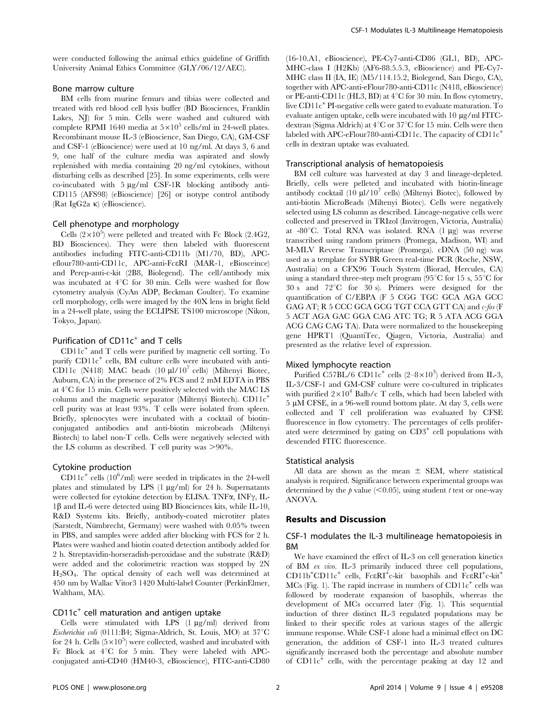were conducted following the animal ethics guideline of Griffith University Animal Ethics Committee (GLY/06/12/AEC).

## Bone marrow culture

BM cells from murine femurs and tibias were collected and treated with red blood cell lysis buffer (BD Biosciences, Franklin Lakes, NJ) for 5 min. Cells were washed and cultured with complete RPMI 1640 media at  $5 \times 10^5$  cells/ml in 24-well plates. Recombinant mouse IL-3 (eBioscience, San Diego, CA), GM-CSF and CSF-1 (eBioscience) were used at 10 ng/ml. At days 3, 6 and 9, one half of the culture media was aspirated and slowly replenished with media containing 20 ng/ml cytokines, without disturbing cells as described [25]. In some experiments, cells were co-incubated with  $5 \mu g/ml$  CSF-1R blocking antibody anti-CD115 (AFS98) (eBioscience) [26] or isotype control antibody (Rat IgG2a k) (eBioscience).

#### Cell phenotype and morphology

Cells  $(2\times10^5)$  were pelleted and treated with Fc Block (2.4G2, BD Biosciences). They were then labeled with fluorescent antibodies including FITC-anti-CD11b (M1/70, BD), APCeflour780-anti-CD11c, APC-anti-FceRI (MAR-1, eBiosceince) and Percp-anti-c-kit (2B8, Biolegend). The cell/antibody mix was incubated at  $4^{\circ}C$  for 30 min. Cells were washed for flow cytometry analysis (CyAn ADP, Beckman Coulter). To examine cell morphology, cells were imaged by the 40X lens in bright field in a 24-well plate, using the ECLIPSE TS100 microscope (Nikon, Tokyo, Japan).

# Purification of  $CD11c^{+}$  and T cells

CD11c<sup>+</sup> and T cells were purified by magnetic cell sorting. To purify CD11c<sup>+</sup> cells, BM culture cells were incubated with anti-CD11c (N418) MAC beads  $(10 \text{ µl}/10^7 \text{ cells})$  (Miltenyi Biotec, Auburn, CA) in the presence of 2% FCS and 2 mM EDTA in PBS at  $4^{\circ}$ C for 15 min. Cells were positively selected with the MAC LS column and the magnetic separator (Miltenyi Biotech).  $CD11c^+$ cell purity was at least 93%. T cells were isolated from spleen. Briefly, splenocytes were incubated with a cocktail of biotinconjugated antibodies and anti-biotin microbeads (Miltenyi Biotech) to label non-T cells. Cells were negatively selected with the LS column as described. T cell purity was  $>90\%$ .

#### Cytokine production

 $CD11c<sup>+</sup>$  cells (10<sup>6</sup>/ml) were seeded in triplicates in the 24-well plates and stimulated by LPS (1 µg/ml) for 24 h. Supernatants were collected for cytokine detection by ELISA. TNF $\alpha$ , INF $\gamma$ , IL- $1\beta$  and IL-6 were detected using BD Biosciences kits, while IL-10, R&D Systems kits. Briefly, antibody-coated microtiter plates (Sarstedt, Nümbrecht, Germany) were washed with 0.05% tween in PBS, and samples were added after blocking with FCS for 2 h. Plates were washed and biotin coated detection antibody added for 2 h. Streptavidin-horseradish-peroxidase and the substrate (R&D) were added and the colorimetric reaction was stopped by 2N  $H<sub>2</sub>SO<sub>4</sub>$ . The optical density of each well was determined at 450 nm by Wallac Vitor3 1420 Multi-label Counter (PerkinElmer, Waltham, MA).

# $CD11c<sup>+</sup>$  cell maturation and antigen uptake

Cells were stimulated with LPS  $(1 \mu g/ml)$  derived from Escherichia coli (0111:B4; Sigma-Aldrich, St. Louis, MO) at  $37^{\circ}$ C for 24 h. Cells  $(5 \times 10^5)$  were collected, washed and incubated with Fc Block at  $4^{\circ}$ C for 5 min. They were labeled with APCconjugated anti-CD40 (HM40-3, eBioscience), FITC-anti-CD80 (16-10.A1, eBioscience), PE-Cy7-anti-CD86 (GL1, BD), APC-MHC-class I (H2Kb) (AF6-88.5.5.3, eBioscience) and PE-Cy7- MHC class II (IA, IE) (M5/114.15.2, Biolegend, San Diego, CA), together with APC-anti-eFlour780-anti-CD11c (N418, eBioscience) or PE-anti-CD11c (HL3, BD) at  $4^{\circ}$ C for 30 min. In flow cytometry, live CD11c<sup>+</sup> PI-negative cells were gated to evaluate maturation. To evaluate antigen uptake, cells were incubated with 10  $\mu$ g/ml FITCdextran (Sigma Aldrich) at  $4^{\circ}$ C or  $37^{\circ}$ C for 15 min. Cells were then labeled with APC-eFlour780-anti-CD11c. The capacity of  $CD11c^+$ cells in dextran uptake was evaluated.

#### Transcriptional analysis of hematopoiesis

BM cell culture was harvested at day 3 and lineage-depleted. Briefly, cells were pelleted and incubated with biotin-lineage antibody cocktail (10  $\mu$ 1/10<sup>7</sup> cells) (Miltenyi Biotec), followed by anti-biotin MicroBeads (Miltenyi Biotec). Cells were negatively selected using LS column as described. Lineage-negative cells were collected and preserved in TRIzol (Invitrogen, Victoria, Australia) at -80 $^{\circ}$ C. Total RNA was isolated. RNA (1 µg) was reverse transcribed using random primers (Promega, Madison, WI) and M-MLV Reverse Transcriptase (Promega). cDNA (50 ng) was used as a template for SYBR Green real-time PCR (Roche, NSW, Australia) on a CFX96 Touch System (Biorad, Hercules, CA) using a standard three-step melt program (95 $^{\circ}$ C for 15 s, 55 $^{\circ}$ C for  $30 \text{ s}$  and  $72^{\circ} \text{C}$  for  $30 \text{ s}$ ). Primers were designed for the quantification of C/EBPA (F 5 CGG TGC GCA AGA GCC GAG AT; R 5 CCC GCA GCG TGT CCA GTT CA) and c-fos (F 5 ACT AGA GAC GGA CAG ATC TG; R 5 ATA ACG GGA ACG CAG CAG TA). Data were normalized to the housekeeping gene HPRT1 (QuantiTec, Qiagen, Victoria, Australia) and presented as the relative level of expression.

#### Mixed lymphocyte reaction

Purified C57BL/6 CD11c<sup>+</sup> cells  $(2-8\times10^3)$  derived from IL-3, IL-3/CSF-1 and GM-CSF culture were co-cultured in triplicates with purified  $2\times10^4$  Balb/c T cells, which had been labeled with  $5 \mu M$  CFSE, in a 96-well round bottom plate. At day 3, cells were collected and T cell proliferation was evaluated by CFSE fluorescence in flow cytometry. The percentages of cells proliferated were determined by gating on CD3<sup>+</sup> cell populations with descended FITC fluorescence.

#### Statistical analysis

All data are shown as the mean  $\pm$  SEM, where statistical analysis is required. Significance between experimental groups was determined by the  $p$  value (<0.05), using student t test or one-way ANOVA.

#### Results and Discussion

## CSF-1 modulates the IL-3 multilineage hematopoiesis in BM

We have examined the effect of IL-3 on cell generation kinetics of BM ex vivo. IL-3 primarily induced three cell populations, CD11b<sup>+</sup>CD11c<sup>+</sup> cells, FceRI<sup>+</sup>c-kit<sup>-</sup> basophils and FceRI<sup>+</sup>c-kit<sup>+</sup>  $MCs$  (Fig. 1). The rapid increase in numbers of  $CD11c^{+}$  cells was followed by moderate expansion of basophils, whereas the development of MCs occurred later (Fig. 1). This sequential induction of three distinct IL-3 regulated populations may be linked to their specific roles at various stages of the allergic immune response. While CSF-1 alone had a minimal effect on DC generation, the addition of CSF-1 into IL-3 treated cultures significantly increased both the percentage and absolute number of CD11c<sup>+</sup> cells, with the percentage peaking at day 12 and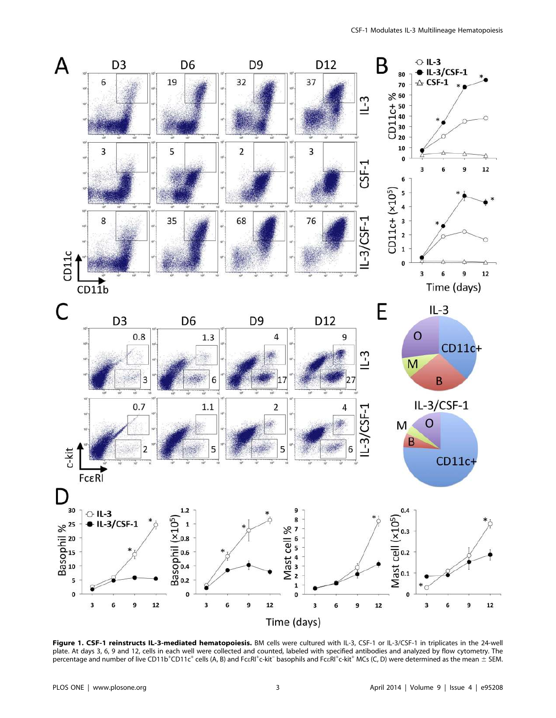

Figure 1. CSF-1 reinstructs IL-3-mediated hematopoiesis. BM cells were cultured with IL-3, CSF-1 or IL-3/CSF-1 in triplicates in the 24-well plate. At days 3, 6, 9 and 12, cells in each well were collected and counted, labeled with specified antibodies and analyzed by flow cytometry. The .<br>percentage and number of live CD11b<sup>+</sup>CD11c<sup>+</sup> cells (A, B) and Fc $\epsilon$ RI<sup>+</sup>c-kit<sup>-</sup> basophils and Fc $\epsilon$ RI<sup>+</sup>c-kit<sup>+</sup> MCs (C, D) were determined as the mean ± SEM.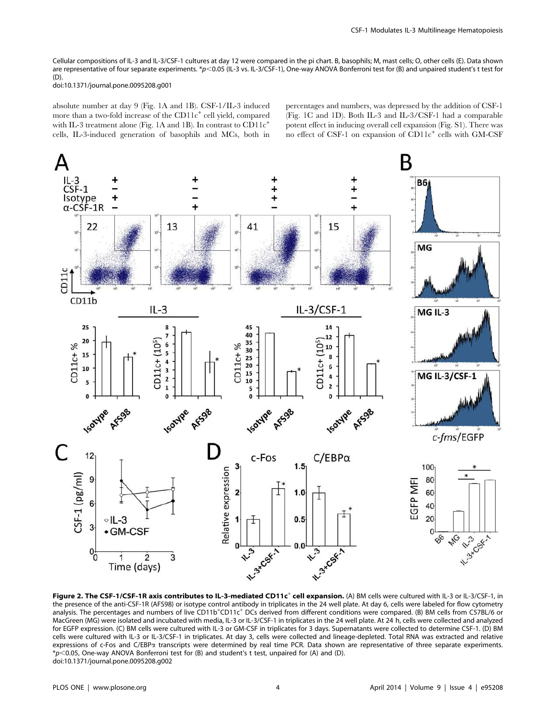Cellular compositions of IL-3 and IL-3/CSF-1 cultures at day 12 were compared in the pi chart. B, basophils; M, mast cells; O, other cells (E). Data shown are representative of four separate experiments. \*p<0.05 (IL-3 vs. IL-3/CSF-1), One-way ANOVA Bonferroni test for (B) and unpaired student's t test for  $(D)$ 

doi:10.1371/journal.pone.0095208.g001

absolute number at day 9 (Fig. 1A and 1B). CSF-1/IL-3 induced more than a two-fold increase of the CD11c<sup>+</sup> cell yield, compared with IL-3 treatment alone (Fig. 1A and 1B). In contrast to  $CD11c^+$ cells, IL-3-induced generation of basophils and MCs, both in percentages and numbers, was depressed by the addition of CSF-1 (Fig. 1C and 1D). Both IL-3 and IL-3/CSF-1 had a comparable potent effect in inducing overall cell expansion (Fig. S1). There was no effect of CSF-1 on expansion of CD11c<sup>+</sup> cells with GM-CSF



Figure 2. The CSF-1/CSF-1R axis contributes to IL-3-mediated CD11c<sup>+</sup> cell expansion. (A) BM cells were cultured with IL-3 or IL-3/CSF-1, in the presence of the anti-CSF-1R (AFS98) or isotype control antibody in triplicates in the 24 well plate. At day 6, cells were labeled for flow cytometry analysis. The percentages and numbers of live CD11b<sup>+</sup>CD11c<sup>+</sup> DCs derived from different conditions were compared. (B) BM cells from C57BL/6 or MacGreen (MG) were isolated and incubated with media, IL-3 or IL-3/CSF-1 in triplicates in the 24 well plate. At 24 h, cells were collected and analyzed for EGFP expression. (C) BM cells were cultured with IL-3 or GM-CSF in triplicates for 3 days. Supernatants were collected to determine CSF-1. (D) BM cells were cultured with IL-3 or IL-3/CSF-1 in triplicates. At day 3, cells were collected and lineage-depleted. Total RNA was extracted and relative expressions of c-Fos and C/EBPa transcripts were determined by real time PCR. Data shown are representative of three separate experiments.  $*p$ <0.05, One-way ANOVA Bonferroni test for (B) and student's t test, unpaired for (A) and (D). doi:10.1371/journal.pone.0095208.g002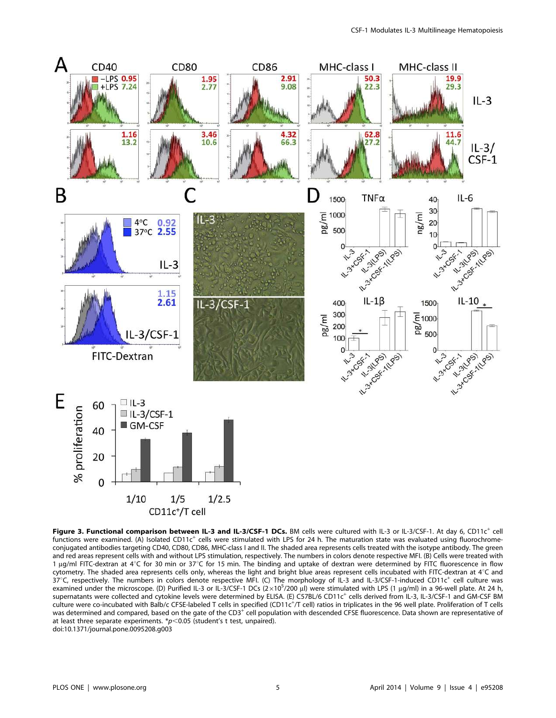

Figure 3. Functional comparison between IL-3 and IL-3/CSF-1 DCs. BM cells were cultured with IL-3 or IL-3/CSF-1. At day 6, CD11c<sup>+</sup> cell functions were examined. (A) Isolated CD11c<sup>+</sup> cells were stimulated with LPS for 24 h. The maturation state was evaluated using fluorochromeconjugated antibodies targeting CD40, CD80, CD86, MHC-class I and II. The shaded area represents cells treated with the isotype antibody. The green and red areas represent cells with and without LPS stimulation, respectively. The numbers in colors denote respective MFI. (B) Cells were treated with 1 µg/ml FITC-dextran at  $4^{\circ}$ C for 30 min or 37°C for 15 min. The binding and uptake of dextran were determined by FITC fluorescence in flow cytometry. The shaded area represents cells only, whereas the light and bright blue areas represent cells incubated with FITC-dextran at  $4^{\circ}$ C and  $37^{\circ}$ C, respectively. The numbers in colors denote respective MFI. (C) The morphology of IL-3 and IL-3/CSF-1-induced CD11c<sup>+</sup> cell culture was examined under the microscope. (D) Purified IL-3 or IL-3/CSF-1 DCs (2×10<sup>5</sup>/200 µl) were stimulated with LPS (1 µg/ml) in a 96-well plate. At 24 h, supernatants were collected and cytokine levels were determined by ELISA. (E) C57BL/6 CD11c<sup>+</sup> cells derived from IL-3, IL-3/CSF-1 and GM-CSF BM culture were co-incubated with Balb/c CFSE-labeled T cells in specified (CD11c<sup>+</sup>/T cell) ratios in triplicates in the 96 well plate. Proliferation of T cells was determined and compared, based on the gate of the CD3<sup>+</sup> cell population with descended CFSE fluorescence. Data shown are representative of at least three separate experiments.  $p$ <0.05 (student's t test, unpaired). doi:10.1371/journal.pone.0095208.g003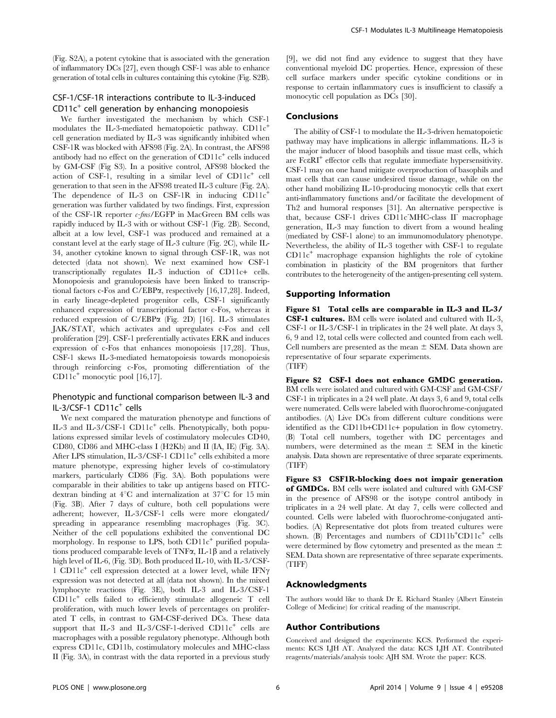(Fig. S2A), a potent cytokine that is associated with the generation of inflammatory DCs [27], even though CSF-1 was able to enhance generation of total cells in cultures containing this cytokine (Fig. S2B).

# CSF-1/CSF-1R interactions contribute to IL-3-induced  $CD11c<sup>+</sup>$  cell generation by enhancing monopoiesis

We further investigated the mechanism by which CSF-1 modulates the IL-3-mediated hematopoietic pathway. CD11c<sup>+</sup> cell generation mediated by IL-3 was significantly inhibited when CSF-1R was blocked with AFS98 (Fig. 2A). In contrast, the AFS98 antibody had no effect on the generation of CD11c<sup>+</sup> cells induced by GM-CSF (Fig S3). In a positive control, AFS98 blocked the action of CSF-1, resulting in a similar level of CD11c<sup>+</sup> cell generation to that seen in the AFS98 treated IL-3 culture (Fig. 2A). The dependence of IL-3 on CSF-1R in inducing CD11c<sup>+</sup> generation was further validated by two findings. First, expression of the CSF-1R reporter  $c$ -fms/EGFP in MacGreen BM cells was rapidly induced by IL-3 with or without CSF-1 (Fig. 2B). Second, albeit at a low level, CSF-1 was produced and remained at a constant level at the early stage of IL-3 culture (Fig. 2C), while IL-34, another cytokine known to signal through CSF-1R, was not detected (data not shown). We next examined how CSF-1 transcriptionally regulates IL-3 induction of CD11c+ cells. Monopoiesis and granulopoiesis have been linked to transcriptional factors c-Fos and C/EBPa, respectively [16,17,28]. Indeed, in early lineage-depleted progenitor cells, CSF-1 significantly enhanced expression of transcriptional factor c-Fos, whereas it reduced expression of C/EBPa (Fig. 2D) [16]. IL-3 stimulates JAK/STAT, which activates and upregulates c-Fos and cell proliferation [29]. CSF-1 preferentially activates ERK and induces expression of c-Fos that enhances monopoiesis [17,28]. Thus, CSF-1 skews IL-3-mediated hematopoiesis towards monopoiesis through reinforcing c-Fos, promoting differentiation of the CD11 $c^+$  monocytic pool [16,17].

# Phenotypic and functional comparison between IL-3 and IL-3/CSF-1 CD11c<sup>+</sup> cells

We next compared the maturation phenotype and functions of IL-3 and IL-3/CSF-1 CD11c<sup>+</sup> cells. Phenotypically, both populations expressed similar levels of costimulatory molecules CD40, CD80, CD86 and MHC-class I (H2Kb) and II (IA, IE) (Fig. 3A). After LPS stimulation, IL-3/CSF-1 CD11c<sup>+</sup> cells exhibited a more mature phenotype, expressing higher levels of co-stimulatory markers, particularly CD86 (Fig. 3A). Both populations were comparable in their abilities to take up antigens based on FITCdextran binding at  $4^{\circ}$ C and internalization at  $37^{\circ}$ C for 15 min (Fig. 3B). After 7 days of culture, both cell populations were adherent; however, IL-3/CSF-1 cells were more elongated/ spreading in appearance resembling macrophages (Fig. 3C). Neither of the cell populations exhibited the conventional DC morphology. In response to LPS, both CD11c<sup>+</sup> purified populations produced comparable levels of TNF $\alpha$ , IL-1 $\beta$  and a relatively high level of IL-6, (Fig. 3D). Both produced IL-10, with IL-3/CSF-1 CD11c<sup>+</sup> cell expression detected at a lower level, while IFN $\gamma$ expression was not detected at all (data not shown). In the mixed lymphocyte reactions (Fig. 3E), both IL-3 and IL-3/CSF-1 CD11c<sup>+</sup> cells failed to efficiently stimulate allogeneic T cell proliferation, with much lower levels of percentages on proliferated T cells, in contrast to GM-CSF-derived DCs. These data support that IL-3 and IL-3/CSF-1-derived CD11c<sup>+</sup> cells are macrophages with a possible regulatory phenotype. Although both express CD11c, CD11b, costimulatory molecules and MHC-class II (Fig. 3A), in contrast with the data reported in a previous study

[9], we did not find any evidence to suggest that they have conventional myeloid DC properties. Hence, expression of these cell surface markers under specific cytokine conditions or in response to certain inflammatory cues is insufficient to classify a monocytic cell population as DCs [30].

#### Conclusions

The ability of CSF-1 to modulate the IL-3-driven hematopoietic pathway may have implications in allergic inflammations. IL-3 is the major inducer of blood basophils and tissue mast cells, which are Fc $\varepsilon R I^+$  effector cells that regulate immediate hypersensitivity. CSF-1 may on one hand mitigate overproduction of basophils and mast cells that can cause undesired tissue damage, while on the other hand mobilizing IL-10-producing monocytic cells that exert anti-inflammatory functions and/or facilitate the development of Th2 and humoral responses [31]. An alternative perspective is that, because CSF-1 drives CD11c-MHC-class II<sup>-</sup> macrophage generation, IL-3 may function to divert from a wound healing (mediated by CSF-1 alone) to an immunomodulatory phenotype. Nevertheless, the ability of IL-3 together with CSF-1 to regulate  $CD11c<sup>+</sup>$  macrophage expansion highlights the role of cytokine combination in plasticity of the BM progenitors that further contributes to the heterogeneity of the antigen-presenting cell system.

#### Supporting Information

Figure S1 Total cells are comparable in IL-3 and IL-3/ CSF-1 cultures. BM cells were isolated and cultured with IL-3, CSF-1 or IL-3/CSF-1 in triplicates in the 24 well plate. At days 3, 6, 9 and 12, total cells were collected and counted from each well. Cell numbers are presented as the mean  $\pm$  SEM. Data shown are representative of four separate experiments. (TIFF)

Figure S2 CSF-1 does not enhance GMDC generation. BM cells were isolated and cultured with GM-CSF and GM-CSF/ CSF-1 in triplicates in a 24 well plate. At days 3, 6 and 9, total cells were numerated. Cells were labeled with fluorochrome-conjugated antibodies. (A) Live DCs from different culture conditions were identified as the CD11b+CD11c+ population in flow cytometry. (B) Total cell numbers, together with DC percentages and numbers, were determined as the mean  $\pm$  SEM in the kinetic analysis. Data shown are representative of three separate experiments. (TIFF)

Figure S3 CSF1R-blocking does not impair generation of GMDCs. BM cells were isolated and cultured with GM-CSF in the presence of AFS98 or the isotype control antibody in triplicates in a 24 well plate. At day 7, cells were collected and counted. Cells were labeled with fluorochrome-conjugated antibodies. (A) Representative dot plots from treated cultures were shown. (B) Percentages and numbers of CD11b+CD11c+ cells were determined by flow cytometry and presented as the mean  $\pm$ SEM. Data shown are representative of three separate experiments. (TIFF)

#### Acknowledgments

The authors would like to thank Dr E. Richard Stanley (Albert Einstein College of Medicine) for critical reading of the manuscript.

## Author Contributions

Conceived and designed the experiments: KCS. Performed the experiments: KCS LJH AT. Analyzed the data: KCS LJH AT. Contributed reagents/materials/analysis tools: AJH SM. Wrote the paper: KCS.